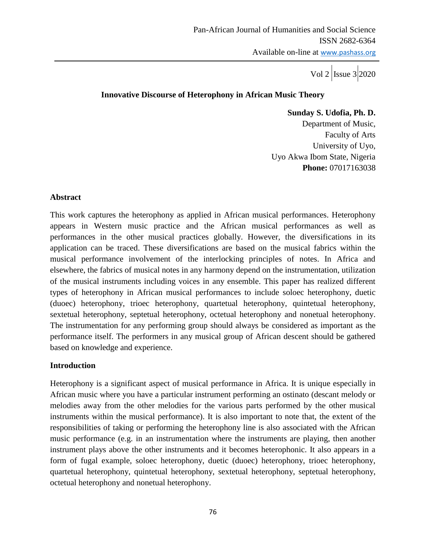#### **Innovative Discourse of Heterophony in African Music Theory**

 **Sunday S. Udofia, Ph. D.** Department of Music, Faculty of Arts University of Uyo, Uyo Akwa Ibom State, Nigeria **Phone:** 07017163038

#### **Abstract**

This work captures the heterophony as applied in African musical performances. Heterophony appears in Western music practice and the African musical performances as well as performances in the other musical practices globally. However, the diversifications in its application can be traced. These diversifications are based on the musical fabrics within the musical performance involvement of the interlocking principles of notes. In Africa and elsewhere, the fabrics of musical notes in any harmony depend on the instrumentation, utilization of the musical instruments including voices in any ensemble. This paper has realized different types of heterophony in African musical performances to include soloec heterophony, duetic (duoec) heterophony, trioec heterophony, quartetual heterophony, quintetual heterophony, sextetual heterophony, septetual heterophony, octetual heterophony and nonetual heterophony. The instrumentation for any performing group should always be considered as important as the performance itself. The performers in any musical group of African descent should be gathered based on knowledge and experience.

### **Introduction**

Heterophony is a significant aspect of musical performance in Africa. It is unique especially in African music where you have a particular instrument performing an ostinato (descant melody or melodies away from the other melodies for the various parts performed by the other musical instruments within the musical performance). It is also important to note that, the extent of the responsibilities of taking or performing the heterophony line is also associated with the African music performance (e.g. in an instrumentation where the instruments are playing, then another instrument plays above the other instruments and it becomes heterophonic. It also appears in a form of fugal example, soloec heterophony, duetic (duoec) heterophony, trioec heterophony, quartetual heterophony, quintetual heterophony, sextetual heterophony, septetual heterophony, octetual heterophony and nonetual heterophony.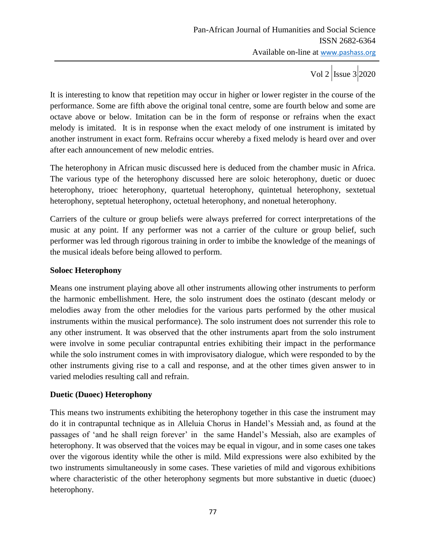It is interesting to know that repetition may occur in higher or lower register in the course of the performance. Some are fifth above the original tonal centre, some are fourth below and some are octave above or below. Imitation can be in the form of response or refrains when the exact melody is imitated. It is in response when the exact melody of one instrument is imitated by another instrument in exact form. Refrains occur whereby a fixed melody is heard over and over after each announcement of new melodic entries.

The heterophony in African music discussed here is deduced from the chamber music in Africa. The various type of the heterophony discussed here are soloic heterophony, duetic or duoec heterophony, trioec heterophony, quartetual heterophony, quintetual heterophony, sextetual heterophony, septetual heterophony, octetual heterophony, and nonetual heterophony.

Carriers of the culture or group beliefs were always preferred for correct interpretations of the music at any point. If any performer was not a carrier of the culture or group belief, such performer was led through rigorous training in order to imbibe the knowledge of the meanings of the musical ideals before being allowed to perform.

### **Soloec Heterophony**

Means one instrument playing above all other instruments allowing other instruments to perform the harmonic embellishment. Here, the solo instrument does the ostinato (descant melody or melodies away from the other melodies for the various parts performed by the other musical instruments within the musical performance). The solo instrument does not surrender this role to any other instrument. It was observed that the other instruments apart from the solo instrument were involve in some peculiar contrapuntal entries exhibiting their impact in the performance while the solo instrument comes in with improvisatory dialogue, which were responded to by the other instruments giving rise to a call and response, and at the other times given answer to in varied melodies resulting call and refrain.

### **Duetic (Duoec) Heterophony**

This means two instruments exhibiting the heterophony together in this case the instrument may do it in contrapuntal technique as in Alleluia Chorus in Handel's Messiah and, as found at the passages of 'and he shall reign forever' in the same Handel's Messiah, also are examples of heterophony. It was observed that the voices may be equal in vigour, and in some cases one takes over the vigorous identity while the other is mild. Mild expressions were also exhibited by the two instruments simultaneously in some cases. These varieties of mild and vigorous exhibitions where characteristic of the other heterophony segments but more substantive in duetic (duoec) heterophony.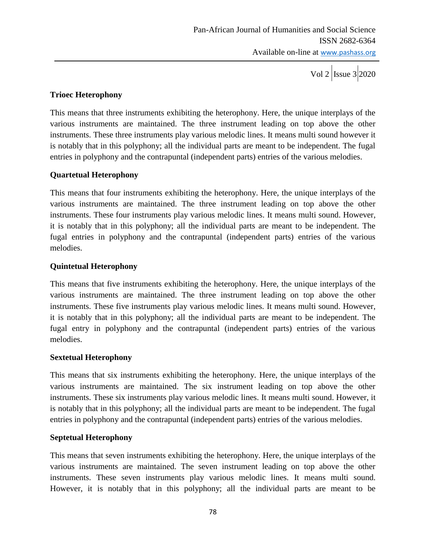Vol 2  $\vert$ Issue 3 2020

# **Trioec Heterophony**

This means that three instruments exhibiting the heterophony. Here, the unique interplays of the various instruments are maintained. The three instrument leading on top above the other instruments. These three instruments play various melodic lines. It means multi sound however it is notably that in this polyphony; all the individual parts are meant to be independent. The fugal entries in polyphony and the contrapuntal (independent parts) entries of the various melodies.

# **Quartetual Heterophony**

This means that four instruments exhibiting the heterophony. Here, the unique interplays of the various instruments are maintained. The three instrument leading on top above the other instruments. These four instruments play various melodic lines. It means multi sound. However, it is notably that in this polyphony; all the individual parts are meant to be independent. The fugal entries in polyphony and the contrapuntal (independent parts) entries of the various melodies.

# **Quintetual Heterophony**

This means that five instruments exhibiting the heterophony. Here, the unique interplays of the various instruments are maintained. The three instrument leading on top above the other instruments. These five instruments play various melodic lines. It means multi sound. However, it is notably that in this polyphony; all the individual parts are meant to be independent. The fugal entry in polyphony and the contrapuntal (independent parts) entries of the various melodies.

### **Sextetual Heterophony**

This means that six instruments exhibiting the heterophony. Here, the unique interplays of the various instruments are maintained. The six instrument leading on top above the other instruments. These six instruments play various melodic lines. It means multi sound. However, it is notably that in this polyphony; all the individual parts are meant to be independent. The fugal entries in polyphony and the contrapuntal (independent parts) entries of the various melodies.

### **Septetual Heterophony**

This means that seven instruments exhibiting the heterophony. Here, the unique interplays of the various instruments are maintained. The seven instrument leading on top above the other instruments. These seven instruments play various melodic lines. It means multi sound. However, it is notably that in this polyphony; all the individual parts are meant to be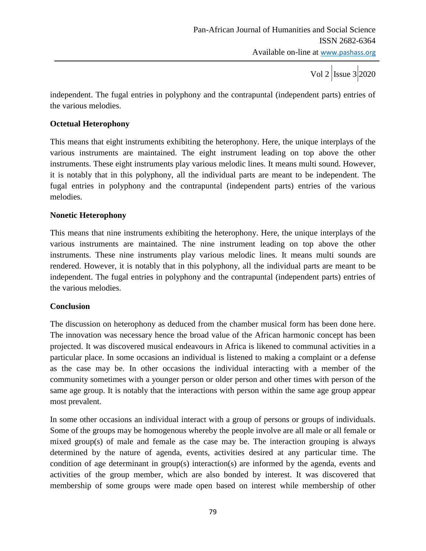Vol 2  $\vert$ Issue 3 2020

independent. The fugal entries in polyphony and the contrapuntal (independent parts) entries of the various melodies.

### **Octetual Heterophony**

This means that eight instruments exhibiting the heterophony. Here, the unique interplays of the various instruments are maintained. The eight instrument leading on top above the other instruments. These eight instruments play various melodic lines. It means multi sound. However, it is notably that in this polyphony, all the individual parts are meant to be independent. The fugal entries in polyphony and the contrapuntal (independent parts) entries of the various melodies.

### **Nonetic Heterophony**

This means that nine instruments exhibiting the heterophony. Here, the unique interplays of the various instruments are maintained. The nine instrument leading on top above the other instruments. These nine instruments play various melodic lines. It means multi sounds are rendered. However, it is notably that in this polyphony, all the individual parts are meant to be independent. The fugal entries in polyphony and the contrapuntal (independent parts) entries of the various melodies.

### **Conclusion**

The discussion on heterophony as deduced from the chamber musical form has been done here. The innovation was necessary hence the broad value of the African harmonic concept has been projected. It was discovered musical endeavours in Africa is likened to communal activities in a particular place. In some occasions an individual is listened to making a complaint or a defense as the case may be. In other occasions the individual interacting with a member of the community sometimes with a younger person or older person and other times with person of the same age group. It is notably that the interactions with person within the same age group appear most prevalent.

In some other occasions an individual interact with a group of persons or groups of individuals. Some of the groups may be homogenous whereby the people involve are all male or all female or mixed group(s) of male and female as the case may be. The interaction grouping is always determined by the nature of agenda, events, activities desired at any particular time. The condition of age determinant in group(s) interaction(s) are informed by the agenda, events and activities of the group member, which are also bonded by interest. It was discovered that membership of some groups were made open based on interest while membership of other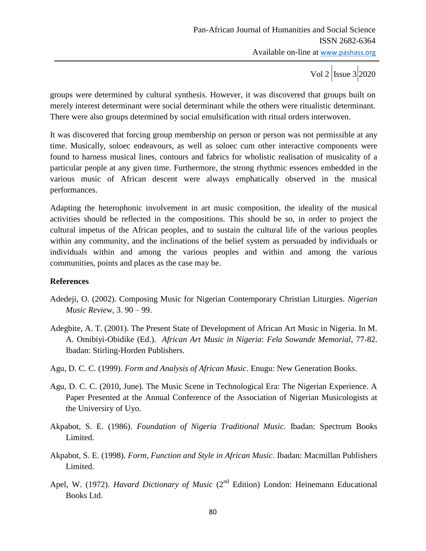Vol 2  $\vert$  Issue 3 2020

groups were determined by cultural synthesis. However, it was discovered that groups built on merely interest determinant were social determinant while the others were ritualistic determinant. There were also groups determined by social emulsification with ritual orders interwoven.

It was discovered that forcing group membership on person or person was not permissible at any time. Musically, soloec endeavours, as well as soloec cum other interactive components were found to harness musical lines, contours and fabrics for wholistic realisation of musicality of a particular people at any given time. Furthermore, the strong rhythmic essences embedded in the various music of African descent were always emphatically observed in the musical performances.

Adapting the heterophonic involvement in art music composition, the ideality of the musical activities should be reflected in the compositions. This should be so, in order to project the cultural impetus of the African peoples, and to sustain the cultural life of the various peoples within any community, and the inclinations of the belief system as persuaded by individuals or individuals within and among the various peoples and within and among the various communities, points and places as the case may be.

### **References**

- Adedeji, O. (2002). Composing Music for Nigerian Contemporary Christian Liturgies. *Nigerian Music Review,* 3. 90 – 99.
- Adegbite, A. T. (2001). The Present State of Development of African Art Music in Nigeria. In M. A. Omibiyi-Obidike (Ed.). *African Art Music in Nigeria*: *Fela Sowande Memorial*, 77-82. Ibadan: Stirling-Horden Publishers.
- Agu, D. C. C. (1999). *Form and Analysis of African Music*. Enugu: New Generation Books.
- Agu, D. C. C. (2010, June). The Music Scene in Technological Era: The Nigerian Experience. A Paper Presented at the Annual Conference of the Association of Nigerian Musicologists at the Universiry of Uyo.
- Akpabot, S. E. (1986). *Foundation of Nigeria Traditional Music.* Ibadan: Spectrum Books Limited.
- Akpabot, S. E. (1998). *Form, Function and Style in African Music*. Ibadan: Macmillan Publishers Limited.
- Apel, W. (1972). *Havard Dictionary of Music* (2<sup>nd</sup> Edition) London: Heinemann Educational Books Ltd.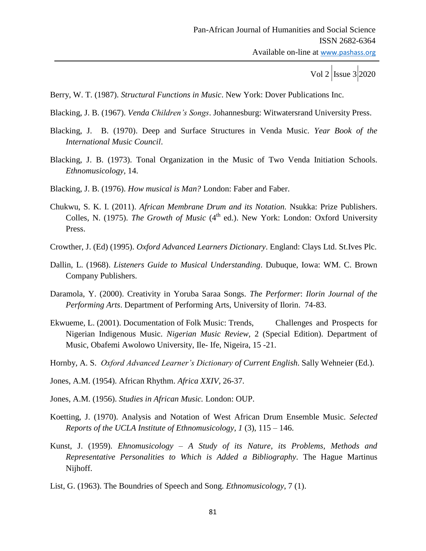Berry, W. T. (1987). *Structural Functions in Music*. New York: Dover Publications Inc.

Blacking, J. B. (1967). *Venda Children's Songs*. Johannesburg: Witwatersrand University Press.

- Blacking, J. B. (1970). Deep and Surface Structures in Venda Music. *Year Book of the International Music Council*.
- Blacking, J. B. (1973). Tonal Organization in the Music of Two Venda Initiation Schools. *Ethnomusicology,* 14.
- Blacking, J. B. (1976). *How musical is Man?* London: Faber and Faber.
- Chukwu, S. K. I. (2011). *African Membrane Drum and its Notation.* Nsukka: Prize Publishers. Colles, N. (1975). *The Growth of Music* (4<sup>th</sup> ed.). New York: London: Oxford University Press.
- Crowther, J. (Ed) (1995). *Oxford Advanced Learners Dictionary*. England: Clays Ltd. St.Ives Plc.
- Dallin, L. (1968). *Listeners Guide to Musical Understanding*. Dubuque, Iowa: WM. C. Brown Company Publishers.
- Daramola, Y. (2000). Creativity in Yoruba Saraa Songs. *The Performer*: *Ilorin Journal of the Performing Arts*. Department of Performing Arts, University of Ilorin. 74-83.
- Ekwueme, L. (2001). Documentation of Folk Music: Trends, Challenges and Prospects for Nigerian Indigenous Music. *Nigerian Music Review,* 2 (Special Edition). Department of Music, Obafemi Awolowo University, Ile- Ife, Nigeira, 15 -21.
- Hornby, A. S. *Oxford Advanced Learner's Dictionary of Current English*. Sally Wehneier (Ed.).
- Jones, A.M. (1954). African Rhythm. *Africa XXIV,* 26-37.
- Jones, A.M. (1956). *Studies in African Music.* London: OUP.
- Koetting, J. (1970). Analysis and Notation of West African Drum Ensemble Music. *Selected Reports of the UCLA Institute of Ethnomusicology*, *1* (3), 115 – 146.
- Kunst, J. (1959). *Ehnomusicology – A Study of its Nature, its Problems, Methods and Representative Personalities to Which is Added a Bibliography*. The Hague Martinus Nijhoff.
- List, G. (1963). The Boundries of Speech and Song. *Ethnomusicology*, 7 (1).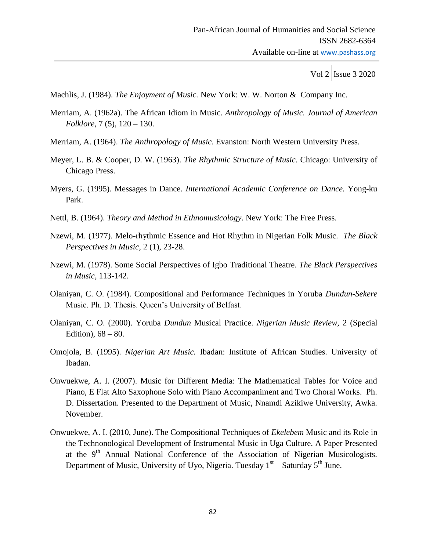Machlis, J. (1984). *The Enjoyment of Music.* New York: W. W. Norton & Company Inc.

- Merriam, A. (1962a). The African Idiom in Music*. Anthropology of Music. Journal of American Folklore,* 7 (5), 120 – 130.
- Merriam, A. (1964). *The Anthropology of Music*. Evanston: North Western University Press.
- Meyer, L. B. & Cooper, D. W. (1963). *The Rhythmic Structure of Music*. Chicago: University of Chicago Press.
- Myers, G. (1995). Messages in Dance. *International Academic Conference on Dance.* Yong-ku Park.
- Nettl, B. (1964). *Theory and Method in Ethnomusicology*. New York: The Free Press.
- Nzewi, M. (1977). Melo-rhythmic Essence and Hot Rhythm in Nigerian Folk Music. *The Black Perspectives in Music,* 2 (1), 23-28.
- Nzewi, M. (1978). Some Social Perspectives of Igbo Traditional Theatre. *The Black Perspectives in Music,* 113-142.
- Olaniyan, C. O. (1984). Compositional and Performance Techniques in Yoruba *Dundun*-*Sekere* Music. Ph. D. Thesis. Queen's University of Belfast.
- Olaniyan, C. O. (2000). Yoruba *Dundun* Musical Practice. *Nigerian Music Review,* 2 (Special Edition),  $68 - 80$ .
- Omojola, B. (1995). *Nigerian Art Music.* Ibadan: Institute of African Studies. University of Ibadan.
- Onwuekwe, A. I. (2007). Music for Different Media: The Mathematical Tables for Voice and Piano, E Flat Alto Saxophone Solo with Piano Accompaniment and Two Choral Works. Ph. D. Dissertation. Presented to the Department of Music, Nnamdi Azikiwe University, Awka. November.
- Onwuekwe, A. I. (2010, June). The Compositional Techniques of *Ekelebem* Music and its Role in the Technonological Development of Instrumental Music in Uga Culture. A Paper Presented at the 9<sup>th</sup> Annual National Conference of the Association of Nigerian Musicologists. Department of Music, University of Uyo, Nigeria. Tuesday 1<sup>st</sup> – Saturday 5<sup>th</sup> June.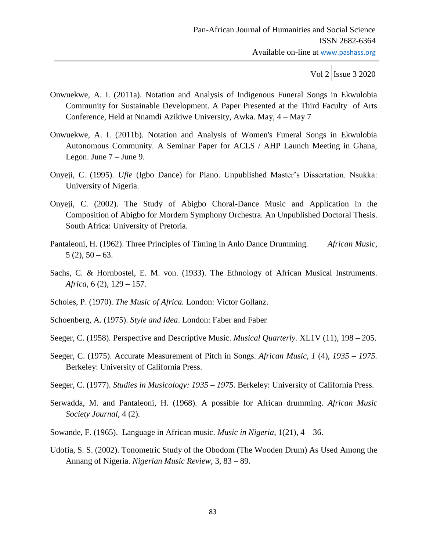- Onwuekwe, A. I. (2011a). Notation and Analysis of Indigenous Funeral Songs in Ekwulobia Community for Sustainable Development. A Paper Presented at the Third Faculty of Arts Conference, Held at Nnamdi Azikiwe University, Awka. May, 4 – May 7
- Onwuekwe, A. I. (2011b). Notation and Analysis of Women's Funeral Songs in Ekwulobia Autonomous Community. A Seminar Paper for ACLS / AHP Launch Meeting in Ghana, Legon. June 7 – June 9.
- Onyeji, C. (1995). *Ufie* (Igbo Dance) for Piano. Unpublished Master's Dissertation. Nsukka: University of Nigeria.
- Onyeji, C. (2002). The Study of Abigbo Choral-Dance Music and Application in the Composition of Abigbo for Mordern Symphony Orchestra. An Unpublished Doctoral Thesis. South Africa: University of Pretoria.
- Pantaleoni, H. (1962). Three Principles of Timing in Anlo Dance Drumming. *African Music*,  $5(2)$ ,  $50 - 63$ .
- Sachs, C. & Hornbostel, E. M. von. (1933). The Ethnology of African Musical Instruments. *Africa*, 6 (2), 129 – 157.
- Scholes, P. (1970). *The Music of Africa.* London: Victor Gollanz.
- Schoenberg, A. (1975). *Style and Idea*. London: Faber and Faber
- Seeger, C. (1958). Perspective and Descriptive Music. *Musical Quarterly.* XL1V (11), 198 205.
- Seeger, C. (1975). Accurate Measurement of Pitch in Songs. *African Music, 1* (4), *1935 – 1975.*  Berkeley: University of California Press.
- Seeger, C. (1977). *Studies in Musicology: 1935 – 1975.* Berkeley: University of California Press.
- Serwadda, M. and Pantaleoni, H. (1968). A possible for African drumming. *African Music Society Journal,* 4 (2).
- Sowande, F. (1965). Language in African music. *Music in Nigeria*, 1(21), 4 36.
- Udofia, S. S. (2002). Tonometric Study of the Obodom (The Wooden Drum) As Used Among the Annang of Nigeria. *Nigerian Music Review,* 3, 83 – 89.